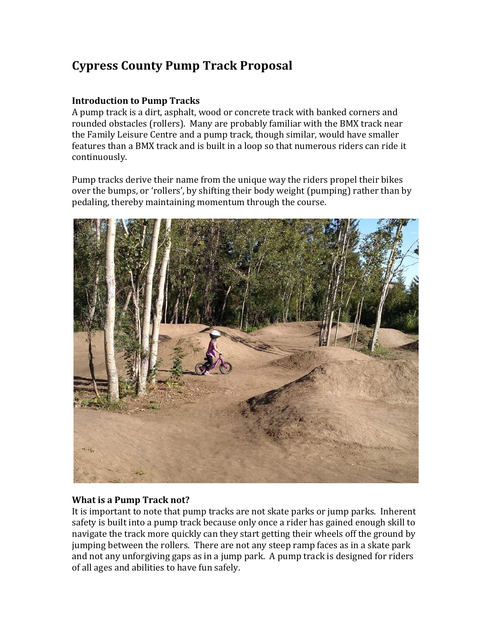# **Cypress County Pump Track Proposal**

# **Introduction to Pump Tracks**

A pump track is a dirt, asphalt, wood or concrete track with banked corners and rounded obstacles (rollers). Many are probably familiar with the BMX track near the Family Leisure Centre and a pump track, though similar, would have smaller features than a BMX track and is built in a loop so that numerous riders can ride it continuously. 

Pump tracks derive their name from the unique way the riders propel their bikes over the bumps, or 'rollers', by shifting their body weight (pumping) rather than by pedaling, thereby maintaining momentum through the course.



## **What is a Pump Track not?**

It is important to note that pump tracks are not skate parks or jump parks. Inherent safety is built into a pump track because only once a rider has gained enough skill to navigate the track more quickly can they start getting their wheels off the ground by jumping between the rollers. There are not any steep ramp faces as in a skate park and not any unforgiving gaps as in a jump park. A pump track is designed for riders of all ages and abilities to have fun safely.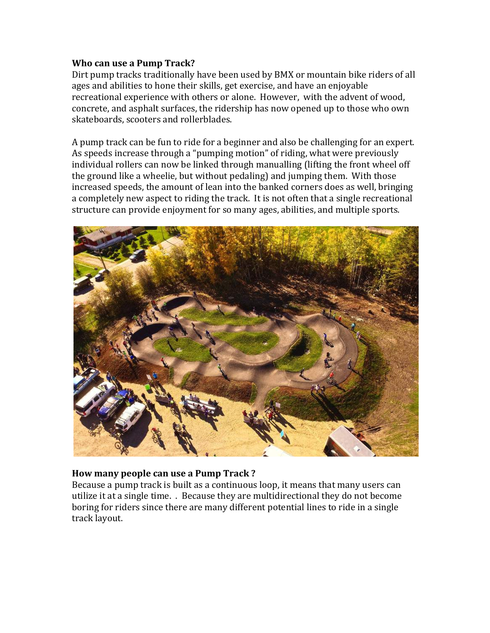#### **Who can use a Pump Track?**

Dirt pump tracks traditionally have been used by BMX or mountain bike riders of all ages and abilities to hone their skills, get exercise, and have an enjoyable recreational experience with others or alone. However, with the advent of wood, concrete, and asphalt surfaces, the ridership has now opened up to those who own skateboards, scooters and rollerblades.

A pump track can be fun to ride for a beginner and also be challenging for an expert. As speeds increase through a "pumping motion" of riding, what were previously individual rollers can now be linked through manualling (lifting the front wheel off the ground like a wheelie, but without pedaling) and jumping them. With those increased speeds, the amount of lean into the banked corners does as well, bringing a completely new aspect to riding the track. It is not often that a single recreational structure can provide enjoyment for so many ages, abilities, and multiple sports.



## How many people can use a Pump Track?

Because a pump track is built as a continuous loop, it means that many users can utilize it at a single time. . Because they are multidirectional they do not become boring for riders since there are many different potential lines to ride in a single track layout.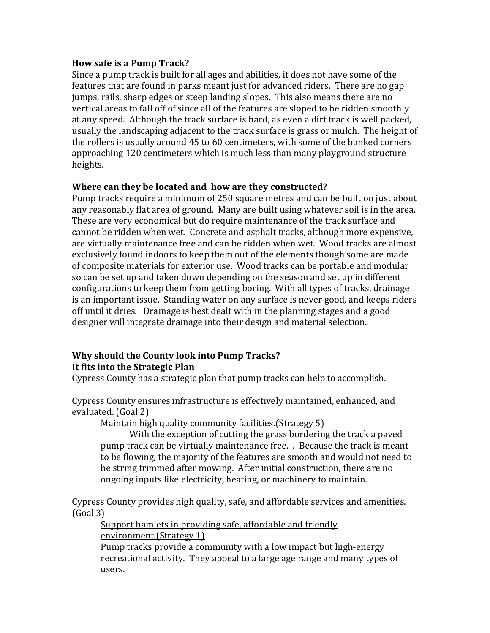#### **How safe is a Pump Track?**

Since a pump track is built for all ages and abilities, it does not have some of the features that are found in parks meant just for advanced riders. There are no gap jumps, rails, sharp edges or steep landing slopes. This also means there are no vertical areas to fall off of since all of the features are sloped to be ridden smoothly at any speed. Although the track surface is hard, as even a dirt track is well packed. usually the landscaping adjacent to the track surface is grass or mulch. The height of the rollers is usually around  $45$  to 60 centimeters, with some of the banked corners approaching 120 centimeters which is much less than many playground structure heights. 

## **Where can they be located and how are they constructed?**

Pump tracks require a minimum of 250 square metres and can be built on just about any reasonably flat area of ground. Many are built using whatever soil is in the area. These are very economical but do require maintenance of the track surface and cannot be ridden when wet. Concrete and asphalt tracks, although more expensive, are virtually maintenance free and can be ridden when wet. Wood tracks are almost exclusively found indoors to keep them out of the elements though some are made of composite materials for exterior use. Wood tracks can be portable and modular so can be set up and taken down depending on the season and set up in different configurations to keep them from getting boring. With all types of tracks, drainage is an important issue. Standing water on any surface is never good, and keeps riders off until it dries. Drainage is best dealt with in the planning stages and a good designer will integrate drainage into their design and material selection.

#### **Why should the County look into Pump Tracks? It fits into the Strategic Plan**

Cypress County has a strategic plan that pump tracks can help to accomplish.

## Cypress County ensures infrastructure is effectively maintained, enhanced, and evaluated. (Goal 2)

Maintain high quality community facilities. (Strategy 5)

With the exception of cutting the grass bordering the track a paved pump track can be virtually maintenance free. . Because the track is meant to be flowing, the majority of the features are smooth and would not need to be string trimmed after mowing. After initial construction, there are no ongoing inputs like electricity, heating, or machinery to maintain.

Cypress County provides high quality, safe, and affordable services and amenities.  $(Goal 3)$ 

Support hamlets in providing safe, affordable and friendly environment. (Strategy 1)

Pump tracks provide a community with a low impact but high-energy recreational activity. They appeal to a large age range and many types of users.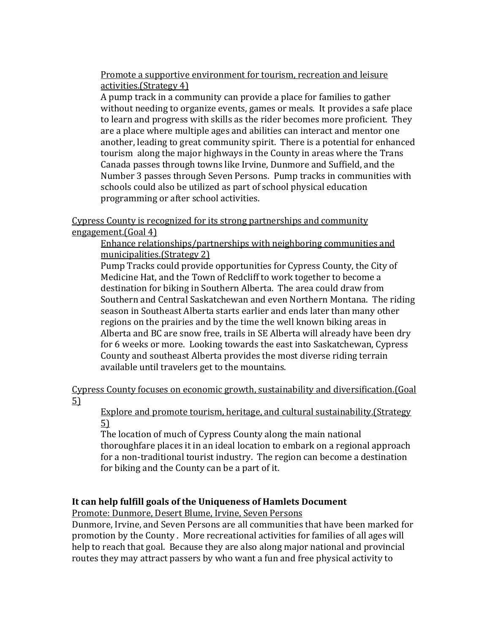Promote a supportive environment for tourism, recreation and leisure activities.(Strategy 4)

A pump track in a community can provide a place for families to gather without needing to organize events, games or meals. It provides a safe place to learn and progress with skills as the rider becomes more proficient. They are a place where multiple ages and abilities can interact and mentor one another, leading to great community spirit. There is a potential for enhanced tourism along the major highways in the County in areas where the Trans Canada passes through towns like Irvine, Dunmore and Suffield, and the Number 3 passes through Seven Persons. Pump tracks in communities with schools could also be utilized as part of school physical education programming or after school activities.

Cypress County is recognized for its strong partnerships and community engagement. $(Goal 4)$ 

Enhance relationships/partnerships with neighboring communities and municipalities.(Strategy 2)

Pump Tracks could provide opportunities for Cypress County, the City of Medicine Hat, and the Town of Redcliff to work together to become a destination for biking in Southern Alberta. The area could draw from Southern and Central Saskatchewan and even Northern Montana. The riding season in Southeast Alberta starts earlier and ends later than many other regions on the prairies and by the time the well known biking areas in Alberta and BC are snow free, trails in SE Alberta will already have been dry for 6 weeks or more. Looking towards the east into Saskatchewan, Cypress County and southeast Alberta provides the most diverse riding terrain available until travelers get to the mountains.

Cypress County focuses on economic growth, sustainability and diversification. [Goal] 5) 

Explore and promote tourism, heritage, and cultural sustainability. (Strategy 5)

The location of much of Cypress County along the main national thoroughfare places it in an ideal location to embark on a regional approach for a non-traditional tourist industry. The region can become a destination for biking and the County can be a part of it.

## It can help fulfill goals of the Uniqueness of Hamlets Document

Promote: Dunmore, Desert Blume, Irvine, Seven Persons

Dunmore, Irvine, and Seven Persons are all communities that have been marked for promotion by the County. More recreational activities for families of all ages will help to reach that goal. Because they are also along major national and provincial routes they may attract passers by who want a fun and free physical activity to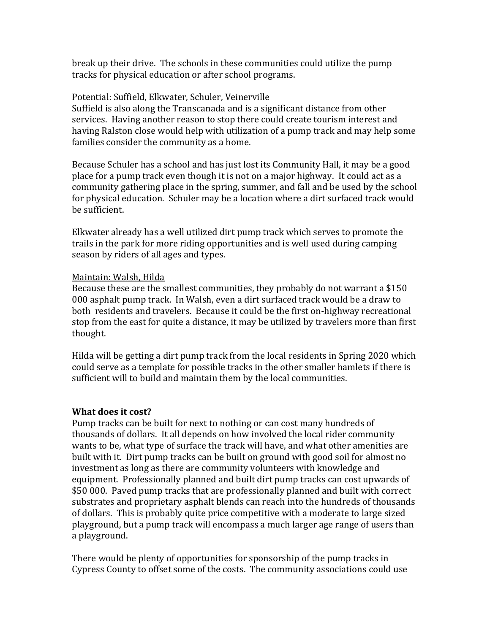break up their drive. The schools in these communities could utilize the pump tracks for physical education or after school programs.

#### Potential: Suffield, Elkwater, Schuler, Veinerville

Suffield is also along the Transcanada and is a significant distance from other services. Having another reason to stop there could create tourism interest and having Ralston close would help with utilization of a pump track and may help some families consider the community as a home.

Because Schuler has a school and has just lost its Community Hall, it may be a good place for a pump track even though it is not on a major highway. It could act as a community gathering place in the spring, summer, and fall and be used by the school for physical education. Schuler may be a location where a dirt surfaced track would be sufficient.

Elkwater already has a well utilized dirt pump track which serves to promote the trails in the park for more riding opportunities and is well used during camping season by riders of all ages and types.

#### Maintain: Walsh, Hilda

Because these are the smallest communities, they probably do not warrant a  $$150$ 000 asphalt pump track. In Walsh, even a dirt surfaced track would be a draw to both residents and travelers. Because it could be the first on-highway recreational stop from the east for quite a distance, it may be utilized by travelers more than first thought.

Hilda will be getting a dirt pump track from the local residents in Spring 2020 which could serve as a template for possible tracks in the other smaller hamlets if there is sufficient will to build and maintain them by the local communities.

## **What does it cost?**

Pump tracks can be built for next to nothing or can cost many hundreds of thousands of dollars. It all depends on how involved the local rider community wants to be, what type of surface the track will have, and what other amenities are built with it. Dirt pump tracks can be built on ground with good soil for almost no investment as long as there are community volunteers with knowledge and equipment. Professionally planned and built dirt pump tracks can cost upwards of \$50 000. Paved pump tracks that are professionally planned and built with correct substrates and proprietary asphalt blends can reach into the hundreds of thousands of dollars. This is probably quite price competitive with a moderate to large sized playground, but a pump track will encompass a much larger age range of users than a playground.

There would be plenty of opportunities for sponsorship of the pump tracks in Cypress County to offset some of the costs. The community associations could use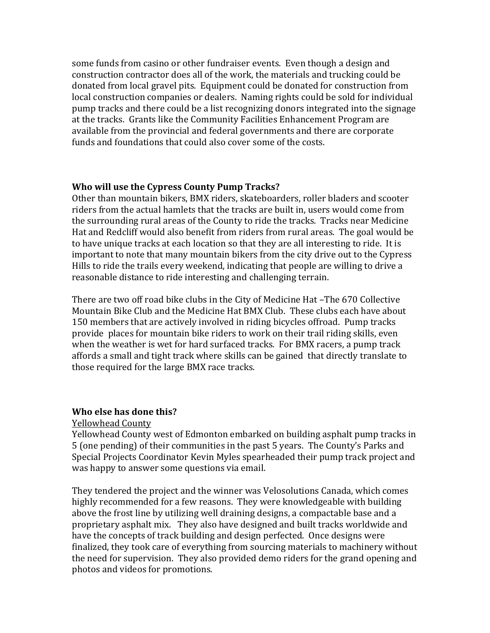some funds from casino or other fundraiser events. Even though a design and construction contractor does all of the work, the materials and trucking could be donated from local gravel pits. Equipment could be donated for construction from local construction companies or dealers. Naming rights could be sold for individual pump tracks and there could be a list recognizing donors integrated into the signage at the tracks. Grants like the Community Facilities Enhancement Program are available from the provincial and federal governments and there are corporate funds and foundations that could also cover some of the costs.

#### **Who will use the Cypress County Pump Tracks?**

Other than mountain bikers, BMX riders, skateboarders, roller bladers and scooter riders from the actual hamlets that the tracks are built in, users would come from the surrounding rural areas of the County to ride the tracks. Tracks near Medicine Hat and Redcliff would also benefit from riders from rural areas. The goal would be to have unique tracks at each location so that they are all interesting to ride. It is important to note that many mountain bikers from the city drive out to the Cypress Hills to ride the trails every weekend, indicating that people are willing to drive a reasonable distance to ride interesting and challenging terrain.

There are two off road bike clubs in the City of Medicine Hat –The 670 Collective Mountain Bike Club and the Medicine Hat BMX Club. These clubs each have about 150 members that are actively involved in riding bicycles offroad. Pump tracks provide places for mountain bike riders to work on their trail riding skills, even when the weather is wet for hard surfaced tracks. For BMX racers, a pump track affords a small and tight track where skills can be gained that directly translate to those required for the large BMX race tracks.

#### **Who else has done this?**

#### Yellowhead County

Yellowhead County west of Edmonton embarked on building asphalt pump tracks in 5 (one pending) of their communities in the past 5 years. The County's Parks and Special Projects Coordinator Kevin Myles spearheaded their pump track project and was happy to answer some questions via email.

They tendered the project and the winner was Velosolutions Canada, which comes highly recommended for a few reasons. They were knowledgeable with building above the frost line by utilizing well draining designs, a compactable base and a proprietary asphalt mix. They also have designed and built tracks worldwide and have the concepts of track building and design perfected. Once designs were finalized, they took care of everything from sourcing materials to machinery without the need for supervision. They also provided demo riders for the grand opening and photos and videos for promotions.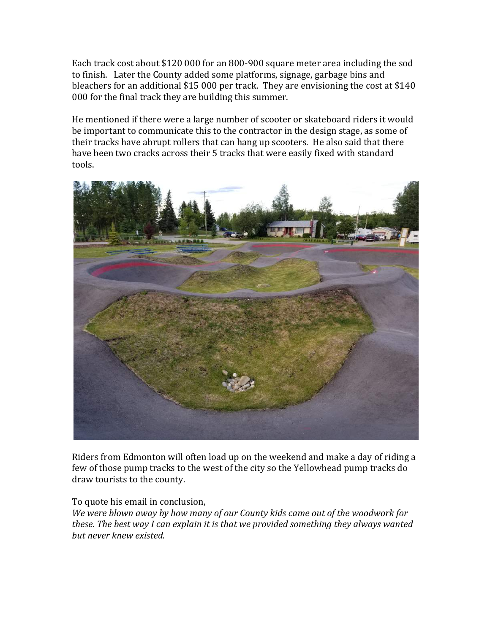Each track cost about \$120 000 for an 800-900 square meter area including the sod to finish. Later the County added some platforms, signage, garbage bins and bleachers for an additional  $$15,000$  per track. They are envisioning the cost at  $$140$ 000 for the final track they are building this summer.

He mentioned if there were a large number of scooter or skateboard riders it would be important to communicate this to the contractor in the design stage, as some of their tracks have abrupt rollers that can hang up scooters. He also said that there have been two cracks across their 5 tracks that were easily fixed with standard tools. 



Riders from Edmonton will often load up on the weekend and make a day of riding a few of those pump tracks to the west of the city so the Yellowhead pump tracks do draw tourists to the county.

To quote his email in conclusion,

We were blown away by how many of our County kids came out of the woodwork for *these. The best way I can explain it is that we provided something they always wanted but never knew existed.*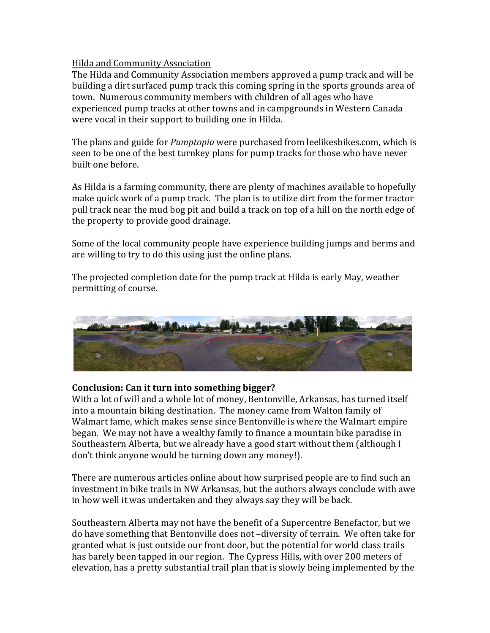## Hilda and Community Association

The Hilda and Community Association members approved a pump track and will be building a dirt surfaced pump track this coming spring in the sports grounds area of town. Numerous community members with children of all ages who have experienced pump tracks at other towns and in campgrounds in Western Canada were vocal in their support to building one in Hilda.

The plans and guide for *Pumptopia* were purchased from leelikesbikes.com, which is seen to be one of the best turnkey plans for pump tracks for those who have never built one before.

As Hilda is a farming community, there are plenty of machines available to hopefully make quick work of a pump track. The plan is to utilize dirt from the former tractor pull track near the mud bog pit and build a track on top of a hill on the north edge of the property to provide good drainage.

Some of the local community people have experience building jumps and berms and are willing to try to do this using just the online plans.

The projected completion date for the pump track at Hilda is early May, weather permitting of course.



# Conclusion: Can it turn into something bigger?

With a lot of will and a whole lot of money, Bentonville, Arkansas, has turned itself into a mountain biking destination. The money came from Walton family of Walmart fame, which makes sense since Bentonville is where the Walmart empire began. We may not have a wealthy family to finance a mountain bike paradise in Southeastern Alberta, but we already have a good start without them (although I don't think anyone would be turning down any money!).

There are numerous articles online about how surprised people are to find such an investment in bike trails in NW Arkansas, but the authors always conclude with awe in how well it was undertaken and they always say they will be back.

Southeastern Alberta may not have the benefit of a Supercentre Benefactor, but we do have something that Bentonville does not -diversity of terrain. We often take for granted what is just outside our front door, but the potential for world class trails has barely been tapped in our region. The Cypress Hills, with over 200 meters of elevation, has a pretty substantial trail plan that is slowly being implemented by the